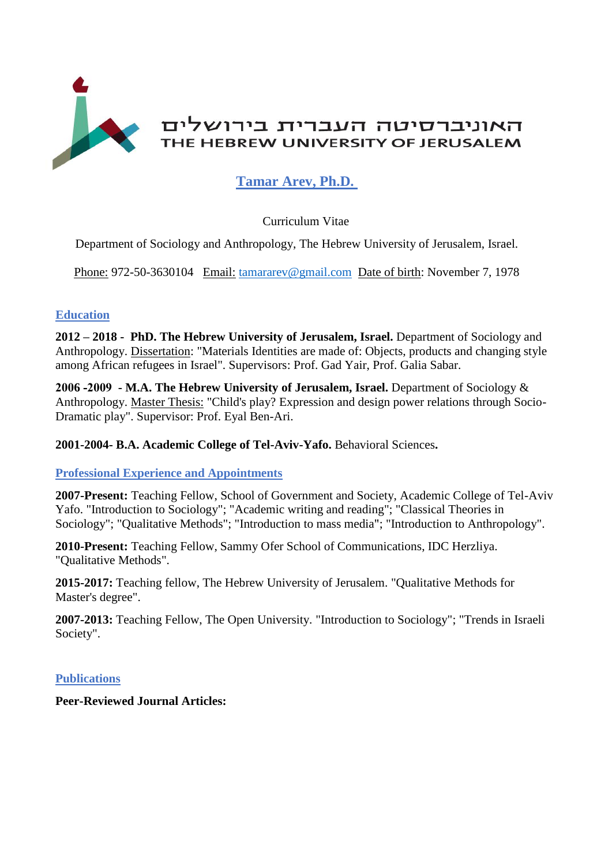

# **Tamar Arev, Ph.D.**

# Curriculum Vitae

Department of Sociology and Anthropology, The Hebrew University of Jerusalem, Israel.

Phone: 972-50-3630104 Email: [tamararev@gmail.com](mailto:tamararev@gmail.com) Date of birth: November 7, 1978

# **Education**

**2012 – 2018 - PhD. The Hebrew University of Jerusalem, Israel.** Department of Sociology and Anthropology. Dissertation: "Materials Identities are made of: Objects, products and changing style among African refugees in Israel". Supervisors: Prof. Gad Yair, Prof. Galia Sabar.

**2006 -2009 - M.A. The Hebrew University of Jerusalem, Israel.** Department of Sociology & Anthropology. Master Thesis: "Child's play? Expression and design power relations through Socio-Dramatic play". Supervisor: Prof. Eyal Ben-Ari.

**2001-2004- B.A. Academic College of Tel-Aviv-Yafo.** Behavioral Sciences**.**

# **Professional Experience and Appointments**

**2007-Present:** Teaching Fellow, School of Government and Society, Academic College of Tel-Aviv Yafo. "Introduction to Sociology"; "Academic writing and reading"; "Classical Theories in Sociology"; "Qualitative Methods"; "Introduction to mass media"; "Introduction to Anthropology".

**2010-Present:** Teaching Fellow, Sammy Ofer School of Communications, IDC Herzliya. "Qualitative Methods".

**2015-2017:** Teaching fellow, The Hebrew University of Jerusalem. "Qualitative Methods for Master's degree".

**2007-2013:** Teaching Fellow, The Open University. "Introduction to Sociology"; "Trends in Israeli Society".

# **Publications**

**Peer-Reviewed Journal Articles:**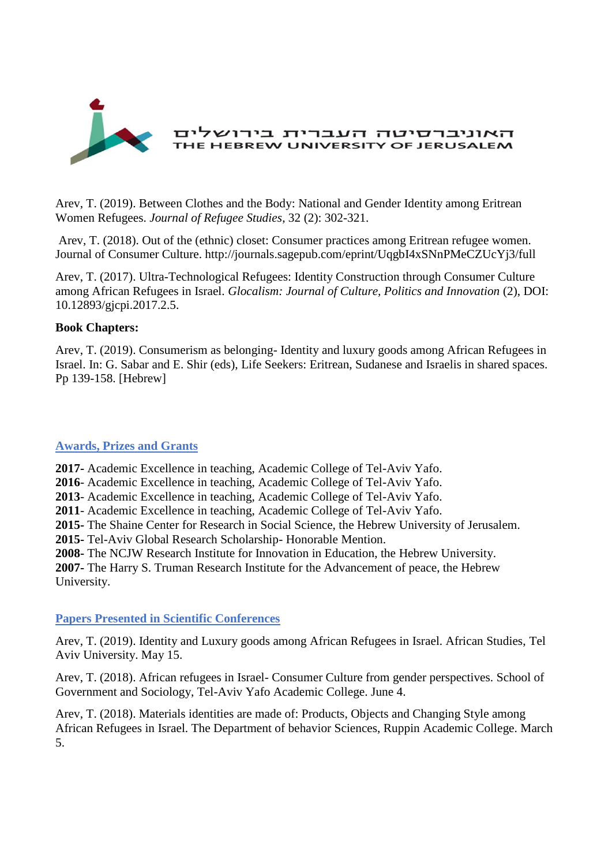

Arev, T. (2019). Between Clothes and the Body: National and Gender Identity among Eritrean Women Refugees. *Journal of Refugee Studies*, 32 (2): 302-321.

Arev, T. (2018). Out of the (ethnic) closet: Consumer practices among Eritrean refugee women. Journal of Consumer Culture. http://journals.sagepub.com/eprint/UqgbI4xSNnPMeCZUcYj3/full

Arev, T. (2017). Ultra-Technological Refugees: Identity Construction through Consumer Culture among African Refugees in Israel. *Glocalism: Journal of Culture, Politics and Innovation* (2), DOI: 10.12893/gjcpi.2017.2.5.

#### **Book Chapters:**

Arev, T. (2019). Consumerism as belonging- Identity and luxury goods among African Refugees in Israel. In: G. Sabar and E. Shir (eds), Life Seekers: Eritrean, Sudanese and Israelis in shared spaces. Pp 139-158. [Hebrew]

#### **Awards, Prizes and Grants**

**2017-** Academic Excellence in teaching, Academic College of Tel-Aviv Yafo.

**2016**- Academic Excellence in teaching, Academic College of Tel-Aviv Yafo.

**2013**- Academic Excellence in teaching, Academic College of Tel-Aviv Yafo.

**2011**- Academic Excellence in teaching, Academic College of Tel-Aviv Yafo.

**2015-** The Shaine Center for Research in Social Science, the Hebrew University of Jerusalem.

**2015-** Tel-Aviv Global Research Scholarship- Honorable Mention.

**2008-** The NCJW Research Institute for Innovation in Education, the Hebrew University.

**2007-** The Harry S. Truman Research Institute for the Advancement of peace, the Hebrew University.

# **Papers Presented in Scientific Conferences**

Arev, T. (2019). Identity and Luxury goods among African Refugees in Israel. African Studies, Tel Aviv University. May 15.

Arev, T. (2018). African refugees in Israel- Consumer Culture from gender perspectives. School of Government and Sociology, Tel-Aviv Yafo Academic College. June 4.

Arev, T. (2018). Materials identities are made of: Products, Objects and Changing Style among African Refugees in Israel. The Department of behavior Sciences, Ruppin Academic College. March 5.